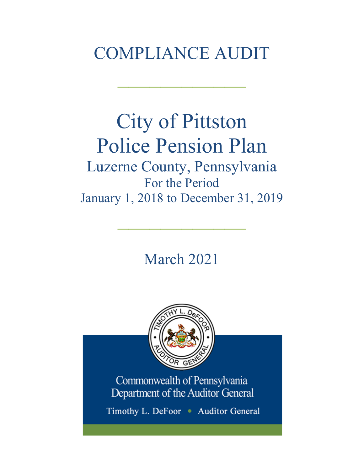## COMPLIANCE AUDIT

 $\frac{1}{2}$ 

# City of Pittston Police Pension Plan

Luzerne County, Pennsylvania For the Period January 1, 2018 to December 31, 2019

 $\frac{1}{2}$ 

March 2021



Commonwealth of Pennsylvania Department of the Auditor General

Timothy L. DeFoor • Auditor General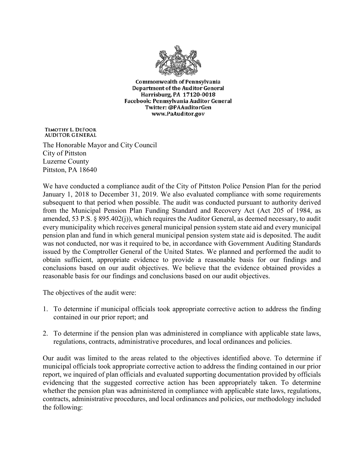

**Commonwealth of Pennsylvania** Department of the Auditor General Harrisburg, PA 17120-0018 Facebook: Pennsylvania Auditor General Twitter: @PAAuditorGen www.PaAuditor.gov

TIMOTHY L. DEFOOR **AUDITOR GENERAL** 

The Honorable Mayor and City Council City of Pittston Luzerne County Pittston, PA 18640

We have conducted a compliance audit of the City of Pittston Police Pension Plan for the period January 1, 2018 to December 31, 2019. We also evaluated compliance with some requirements subsequent to that period when possible. The audit was conducted pursuant to authority derived from the Municipal Pension Plan Funding Standard and Recovery Act (Act 205 of 1984, as amended, 53 P.S. § 895.402(j)), which requires the Auditor General, as deemed necessary, to audit every municipality which receives general municipal pension system state aid and every municipal pension plan and fund in which general municipal pension system state aid is deposited. The audit was not conducted, nor was it required to be, in accordance with Government Auditing Standards issued by the Comptroller General of the United States. We planned and performed the audit to obtain sufficient, appropriate evidence to provide a reasonable basis for our findings and conclusions based on our audit objectives. We believe that the evidence obtained provides a reasonable basis for our findings and conclusions based on our audit objectives.

The objectives of the audit were:

- 1. To determine if municipal officials took appropriate corrective action to address the finding contained in our prior report; and
- 2. To determine if the pension plan was administered in compliance with applicable state laws, regulations, contracts, administrative procedures, and local ordinances and policies.

Our audit was limited to the areas related to the objectives identified above. To determine if municipal officials took appropriate corrective action to address the finding contained in our prior report, we inquired of plan officials and evaluated supporting documentation provided by officials evidencing that the suggested corrective action has been appropriately taken. To determine whether the pension plan was administered in compliance with applicable state laws, regulations, contracts, administrative procedures, and local ordinances and policies, our methodology included the following: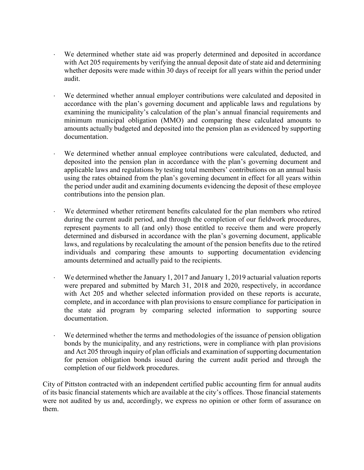- ⋅ We determined whether state aid was properly determined and deposited in accordance with Act 205 requirements by verifying the annual deposit date of state aid and determining whether deposits were made within 30 days of receipt for all years within the period under audit.
- We determined whether annual employer contributions were calculated and deposited in accordance with the plan's governing document and applicable laws and regulations by examining the municipality's calculation of the plan's annual financial requirements and minimum municipal obligation (MMO) and comparing these calculated amounts to amounts actually budgeted and deposited into the pension plan as evidenced by supporting documentation.
- We determined whether annual employee contributions were calculated, deducted, and deposited into the pension plan in accordance with the plan's governing document and applicable laws and regulations by testing total members' contributions on an annual basis using the rates obtained from the plan's governing document in effect for all years within the period under audit and examining documents evidencing the deposit of these employee contributions into the pension plan.
- We determined whether retirement benefits calculated for the plan members who retired during the current audit period, and through the completion of our fieldwork procedures, represent payments to all (and only) those entitled to receive them and were properly determined and disbursed in accordance with the plan's governing document, applicable laws, and regulations by recalculating the amount of the pension benefits due to the retired individuals and comparing these amounts to supporting documentation evidencing amounts determined and actually paid to the recipients.
- We determined whether the January 1, 2017 and January 1, 2019 actuarial valuation reports were prepared and submitted by March 31, 2018 and 2020, respectively, in accordance with Act 205 and whether selected information provided on these reports is accurate, complete, and in accordance with plan provisions to ensure compliance for participation in the state aid program by comparing selected information to supporting source documentation.
- We determined whether the terms and methodologies of the issuance of pension obligation bonds by the municipality, and any restrictions, were in compliance with plan provisions and Act 205 through inquiry of plan officials and examination of supporting documentation for pension obligation bonds issued during the current audit period and through the completion of our fieldwork procedures.

City of Pittston contracted with an independent certified public accounting firm for annual audits of its basic financial statements which are available at the city's offices. Those financial statements were not audited by us and, accordingly, we express no opinion or other form of assurance on them.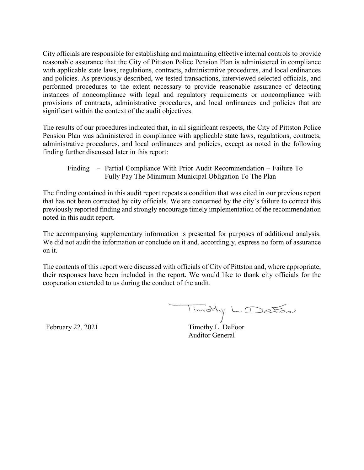City officials are responsible for establishing and maintaining effective internal controls to provide reasonable assurance that the City of Pittston Police Pension Plan is administered in compliance with applicable state laws, regulations, contracts, administrative procedures, and local ordinances and policies. As previously described, we tested transactions, interviewed selected officials, and performed procedures to the extent necessary to provide reasonable assurance of detecting instances of noncompliance with legal and regulatory requirements or noncompliance with provisions of contracts, administrative procedures, and local ordinances and policies that are significant within the context of the audit objectives.

The results of our procedures indicated that, in all significant respects, the City of Pittston Police Pension Plan was administered in compliance with applicable state laws, regulations, contracts, administrative procedures, and local ordinances and policies, except as noted in the following finding further discussed later in this report:

Finding – Partial Compliance With Prior Audit Recommendation – Failure To Fully Pay The Minimum Municipal Obligation To The Plan

The finding contained in this audit report repeats a condition that was cited in our previous report that has not been corrected by city officials. We are concerned by the city's failure to correct this previously reported finding and strongly encourage timely implementation of the recommendation noted in this audit report.

The accompanying supplementary information is presented for purposes of additional analysis. We did not audit the information or conclude on it and, accordingly, express no form of assurance on it.

The contents of this report were discussed with officials of City of Pittston and, where appropriate, their responses have been included in the report. We would like to thank city officials for the cooperation extended to us during the conduct of the audit.

Timothy L. DeFoor

February 22, 2021 Timothy L. DeFoor Auditor General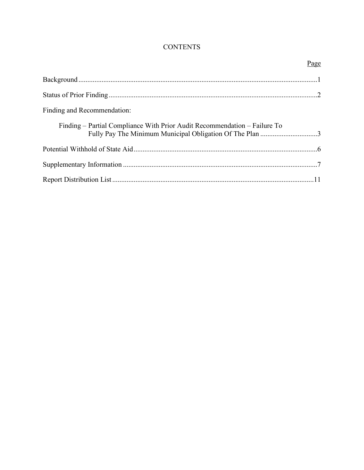#### **CONTENTS**

|                                                                                                                                       | Page |
|---------------------------------------------------------------------------------------------------------------------------------------|------|
|                                                                                                                                       |      |
|                                                                                                                                       |      |
| Finding and Recommendation:                                                                                                           |      |
| Finding – Partial Compliance With Prior Audit Recommendation – Failure To<br>Fully Pay The Minimum Municipal Obligation Of The Plan 3 |      |
|                                                                                                                                       |      |
|                                                                                                                                       |      |
|                                                                                                                                       |      |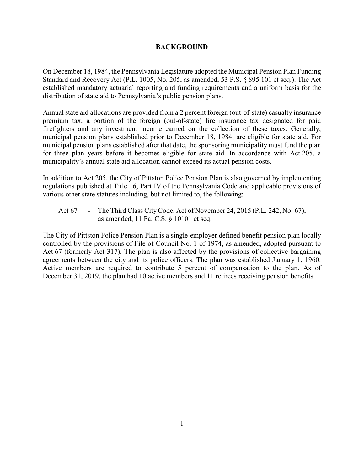#### **BACKGROUND**

On December 18, 1984, the Pennsylvania Legislature adopted the Municipal Pension Plan Funding Standard and Recovery Act (P.L. 1005, No. 205, as amended, 53 P.S. § 895.101 et seq.). The Act established mandatory actuarial reporting and funding requirements and a uniform basis for the distribution of state aid to Pennsylvania's public pension plans.

Annual state aid allocations are provided from a 2 percent foreign (out-of-state) casualty insurance premium tax, a portion of the foreign (out-of-state) fire insurance tax designated for paid firefighters and any investment income earned on the collection of these taxes. Generally, municipal pension plans established prior to December 18, 1984, are eligible for state aid. For municipal pension plans established after that date, the sponsoring municipality must fund the plan for three plan years before it becomes eligible for state aid. In accordance with Act 205, a municipality's annual state aid allocation cannot exceed its actual pension costs.

In addition to Act 205, the City of Pittston Police Pension Plan is also governed by implementing regulations published at Title 16, Part IV of the Pennsylvania Code and applicable provisions of various other state statutes including, but not limited to, the following:

Act 67 - The Third Class City Code, Act of November 24, 2015 (P.L. 242, No. 67), as amended, 11 Pa. C.S. § 10101 et seq.

The City of Pittston Police Pension Plan is a single-employer defined benefit pension plan locally controlled by the provisions of File of Council No. 1 of 1974, as amended, adopted pursuant to Act 67 (formerly Act 317). The plan is also affected by the provisions of collective bargaining agreements between the city and its police officers. The plan was established January 1, 1960. Active members are required to contribute 5 percent of compensation to the plan. As of December 31, 2019, the plan had 10 active members and 11 retirees receiving pension benefits.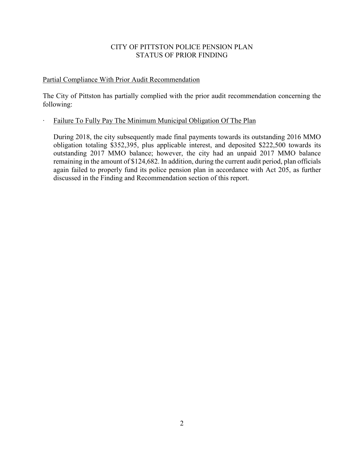#### CITY OF PITTSTON POLICE PENSION PLAN STATUS OF PRIOR FINDING

#### Partial Compliance With Prior Audit Recommendation

The City of Pittston has partially complied with the prior audit recommendation concerning the following:

#### ∙ Failure To Fully Pay The Minimum Municipal Obligation Of The Plan

During 2018, the city subsequently made final payments towards its outstanding 2016 MMO obligation totaling \$352,395, plus applicable interest, and deposited \$222,500 towards its outstanding 2017 MMO balance; however, the city had an unpaid 2017 MMO balance remaining in the amount of \$124,682. In addition, during the current audit period, plan officials again failed to properly fund its police pension plan in accordance with Act 205, as further discussed in the Finding and Recommendation section of this report.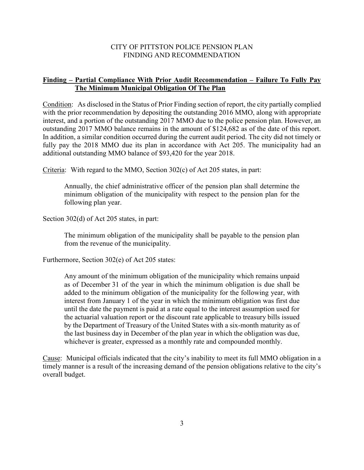#### CITY OF PITTSTON POLICE PENSION PLAN FINDING AND RECOMMENDATION

#### **Finding – Partial Compliance With Prior Audit Recommendation – Failure To Fully Pay The Minimum Municipal Obligation Of The Plan**

Condition: As disclosed in the Status of Prior Finding section of report, the city partially complied with the prior recommendation by depositing the outstanding 2016 MMO, along with appropriate interest, and a portion of the outstanding 2017 MMO due to the police pension plan. However, an outstanding 2017 MMO balance remains in the amount of \$124,682 as of the date of this report. In addition, a similar condition occurred during the current audit period. The city did not timely or fully pay the 2018 MMO due its plan in accordance with Act 205. The municipality had an additional outstanding MMO balance of \$93,420 for the year 2018.

Criteria: With regard to the MMO, Section 302(c) of Act 205 states, in part:

Annually, the chief administrative officer of the pension plan shall determine the minimum obligation of the municipality with respect to the pension plan for the following plan year.

Section 302(d) of Act 205 states, in part:

The minimum obligation of the municipality shall be payable to the pension plan from the revenue of the municipality.

Furthermore, Section 302(e) of Act 205 states:

Any amount of the minimum obligation of the municipality which remains unpaid as of December 31 of the year in which the minimum obligation is due shall be added to the minimum obligation of the municipality for the following year, with interest from January 1 of the year in which the minimum obligation was first due until the date the payment is paid at a rate equal to the interest assumption used for the actuarial valuation report or the discount rate applicable to treasury bills issued by the Department of Treasury of the United States with a six-month maturity as of the last business day in December of the plan year in which the obligation was due, whichever is greater, expressed as a monthly rate and compounded monthly.

Cause: Municipal officials indicated that the city's inability to meet its full MMO obligation in a timely manner is a result of the increasing demand of the pension obligations relative to the city's overall budget.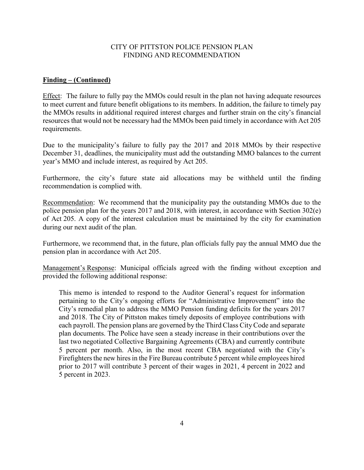#### CITY OF PITTSTON POLICE PENSION PLAN FINDING AND RECOMMENDATION

#### **Finding – (Continued)**

Effect: The failure to fully pay the MMOs could result in the plan not having adequate resources to meet current and future benefit obligations to its members. In addition, the failure to timely pay the MMOs results in additional required interest charges and further strain on the city's financial resources that would not be necessary had the MMOs been paid timely in accordance with Act 205 requirements.

Due to the municipality's failure to fully pay the 2017 and 2018 MMOs by their respective December 31, deadlines, the municipality must add the outstanding MMO balances to the current year's MMO and include interest, as required by Act 205.

Furthermore, the city's future state aid allocations may be withheld until the finding recommendation is complied with.

Recommendation: We recommend that the municipality pay the outstanding MMOs due to the police pension plan for the years 2017 and 2018, with interest, in accordance with Section 302(e) of Act 205. A copy of the interest calculation must be maintained by the city for examination during our next audit of the plan.

Furthermore, we recommend that, in the future, plan officials fully pay the annual MMO due the pension plan in accordance with Act 205.

Management's Response: Municipal officials agreed with the finding without exception and provided the following additional response:

This memo is intended to respond to the Auditor General's request for information pertaining to the City's ongoing efforts for "Administrative Improvement" into the City's remedial plan to address the MMO Pension funding deficits for the years 2017 and 2018. The City of Pittston makes timely deposits of employee contributions with each payroll. The pension plans are governed by the Third Class City Code and separate plan documents. The Police have seen a steady increase in their contributions over the last two negotiated Collective Bargaining Agreements (CBA) and currently contribute 5 percent per month. Also, in the most recent CBA negotiated with the City's Firefighters the new hires in the Fire Bureau contribute 5 percent while employees hired prior to 2017 will contribute 3 percent of their wages in 2021, 4 percent in 2022 and 5 percent in 2023.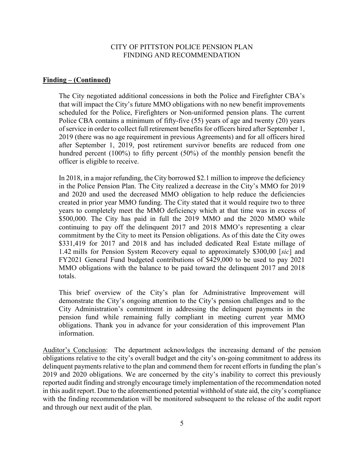#### CITY OF PITTSTON POLICE PENSION PLAN FINDING AND RECOMMENDATION

#### **Finding – (Continued)**

The City negotiated additional concessions in both the Police and Firefighter CBA's that will impact the City's future MMO obligations with no new benefit improvements scheduled for the Police, Firefighters or Non-uniformed pension plans. The current Police CBA contains a minimum of fifty-five (55) years of age and twenty (20) years of service in order to collect full retirement benefits for officers hired after September 1, 2019 (there was no age requirement in previous Agreements) and for all officers hired after September 1, 2019, post retirement survivor benefits are reduced from one hundred percent (100%) to fifty percent (50%) of the monthly pension benefit the officer is eligible to receive.

In 2018, in a major refunding, the City borrowed \$2.1 million to improve the deficiency in the Police Pension Plan. The City realized a decrease in the City's MMO for 2019 and 2020 and used the decreased MMO obligation to help reduce the deficiencies created in prior year MMO funding. The City stated that it would require two to three years to completely meet the MMO deficiency which at that time was in excess of \$500,000. The City has paid in full the 2019 MMO and the 2020 MMO while continuing to pay off the delinquent 2017 and 2018 MMO's representing a clear commitment by the City to meet its Pension obligations. As of this date the City owes \$331,419 for 2017 and 2018 and has included dedicated Real Estate millage of 1.42 mills for Pension System Recovery equal to approximately \$300,00 [*sic*] and FY2021 General Fund budgeted contributions of \$429,000 to be used to pay 2021 MMO obligations with the balance to be paid toward the delinquent 2017 and 2018 totals.

This brief overview of the City's plan for Administrative Improvement will demonstrate the City's ongoing attention to the City's pension challenges and to the City Administration's commitment in addressing the delinquent payments in the pension fund while remaining fully compliant in meeting current year MMO obligations. Thank you in advance for your consideration of this improvement Plan information.

Auditor's Conclusion: The department acknowledges the increasing demand of the pension obligations relative to the city's overall budget and the city's on-going commitment to address its delinquent payments relative to the plan and commend them for recent efforts in funding the plan's 2019 and 2020 obligations. We are concerned by the city's inability to correct this previously reported audit finding and strongly encourage timely implementation of the recommendation noted in this audit report. Due to the aforementioned potential withhold of state aid, the city's compliance with the finding recommendation will be monitored subsequent to the release of the audit report and through our next audit of the plan.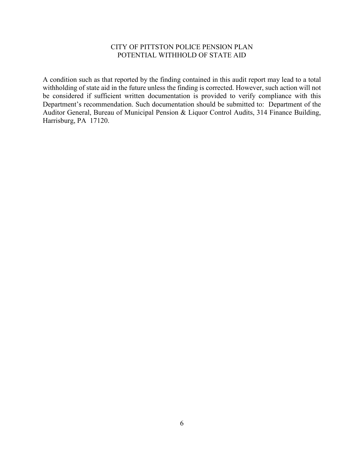#### CITY OF PITTSTON POLICE PENSION PLAN POTENTIAL WITHHOLD OF STATE AID

A condition such as that reported by the finding contained in this audit report may lead to a total withholding of state aid in the future unless the finding is corrected. However, such action will not be considered if sufficient written documentation is provided to verify compliance with this Department's recommendation. Such documentation should be submitted to: Department of the Auditor General, Bureau of Municipal Pension & Liquor Control Audits, 314 Finance Building, Harrisburg, PA 17120.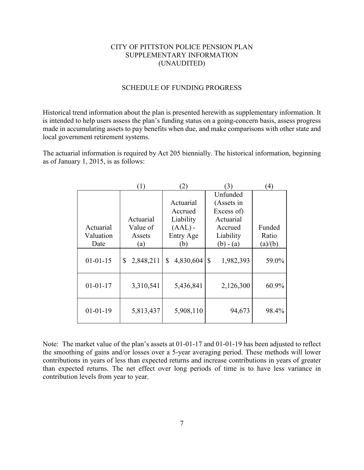#### CITY OF PITTSTON POLICE PENSION PLAN SUPPLEMENTARY INFORMATION (UNAUDITED)

#### SCHEDULE OF FUNDING PROGRESS

Historical trend information about the plan is presented herewith as supplementary information. It is intended to help users assess the plan's funding status on a going-concern basis, assess progress made in accumulating assets to pay benefits when due, and make comparisons with other state and local government retirement systems.

The actuarial information is required by Act 205 biennially. The historical information, beginning as of January 1, 2015, is as follows:

|                | $\left(1\right)$ | (2)             | 3)                        | $^{(4)}$ |
|----------------|------------------|-----------------|---------------------------|----------|
|                |                  |                 | Unfunded                  |          |
|                |                  | Actuarial       | (Assets in                |          |
|                |                  | Accrued         | Excess of)                |          |
|                | Actuarial        | Liability       | Actuarial                 |          |
| Actuarial      | Value of         | $(AAL)$ -       | Accrued                   | Funded   |
| Valuation      | Assets           | Entry Age       | Liability                 | Ratio    |
| Date           | (a)              | (b)             | $(b) - (a)$               | (a)/(b)  |
| $01 - 01 - 15$ | \$<br>2,848,211  | \$<br>4,830,604 | $\mathbb{S}$<br>1,982,393 | 59.0%    |
| $01 - 01 - 17$ | 3,310,541        | 5,436,841       | 2,126,300                 | 60.9%    |
| $01-01-19$     | 5,813,437        | 5,908,110       | 94,673                    | 98.4%    |

Note: The market value of the plan's assets at 01-01-17 and 01-01-19 has been adjusted to reflect the smoothing of gains and/or losses over a 5-year averaging period. These methods will lower contributions in years of less than expected returns and increase contributions in years of greater than expected returns. The net effect over long periods of time is to have less variance in contribution levels from year to year.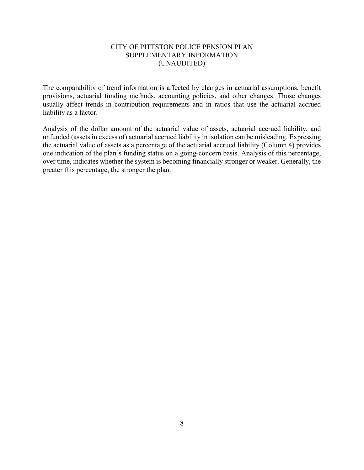#### CITY OF PITTSTON POLICE PENSION PLAN SUPPLEMENTARY INFORMATION (UNAUDITED)

The comparability of trend information is affected by changes in actuarial assumptions, benefit provisions, actuarial funding methods, accounting policies, and other changes. Those changes usually affect trends in contribution requirements and in ratios that use the actuarial accrued liability as a factor.

Analysis of the dollar amount of the actuarial value of assets, actuarial accrued liability, and unfunded (assets in excess of) actuarial accrued liability in isolation can be misleading. Expressing the actuarial value of assets as a percentage of the actuarial accrued liability (Column 4) provides one indication of the plan's funding status on a going-concern basis. Analysis of this percentage, over time, indicates whether the system is becoming financially stronger or weaker. Generally, the greater this percentage, the stronger the plan.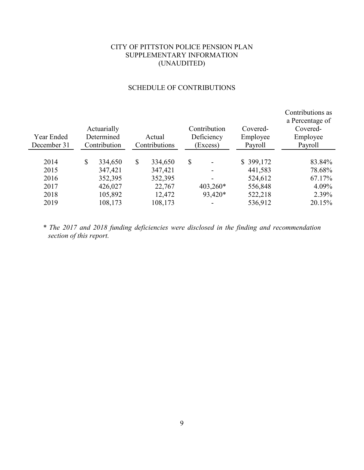#### CITY OF PITTSTON POLICE PENSION PLAN SUPPLEMENTARY INFORMATION (UNAUDITED)

#### SCHEDULE OF CONTRIBUTIONS

| Year Ended<br>December 31    | Actuarially<br>Determined<br>Contribution      | Actual<br>Contributions                       |              | Contribution<br>Deficiency<br>(Excess) | Covered-<br>Employee<br>Payroll            | Contributions as<br>a Percentage of<br>Covered-<br>Employee<br>Payroll |
|------------------------------|------------------------------------------------|-----------------------------------------------|--------------|----------------------------------------|--------------------------------------------|------------------------------------------------------------------------|
| 2014<br>2015<br>2016<br>2017 | \$<br>334,650<br>347,421<br>352,395<br>426,027 | \$<br>334,650<br>347,421<br>352,395<br>22,767 | $\mathbb{S}$ | $403,260*$                             | \$399,172<br>441,583<br>524,612<br>556,848 | 83.84%<br>78.68%<br>67.17%<br>4.09%                                    |
| 2018<br>2019                 | 105,892<br>108,173                             | 12,472<br>108,173                             |              | 93,420*                                | 522,218<br>536,912                         | 2.39%<br>20.15%                                                        |

*\* The 2017 and 2018 funding deficiencies were disclosed in the finding and recommendation section of this report.*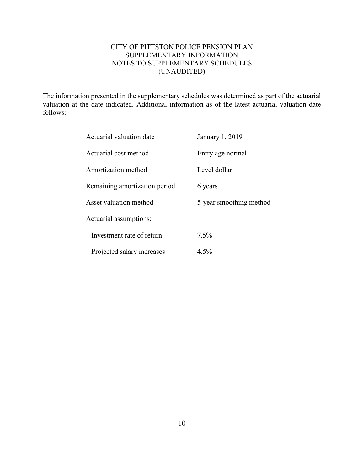#### CITY OF PITTSTON POLICE PENSION PLAN SUPPLEMENTARY INFORMATION NOTES TO SUPPLEMENTARY SCHEDULES (UNAUDITED)

The information presented in the supplementary schedules was determined as part of the actuarial valuation at the date indicated. Additional information as of the latest actuarial valuation date follows:

| Actuarial valuation date      | January 1, 2019         |
|-------------------------------|-------------------------|
| Actuarial cost method         | Entry age normal        |
| Amortization method           | Level dollar            |
| Remaining amortization period | 6 years                 |
| Asset valuation method        | 5-year smoothing method |
| Actuarial assumptions:        |                         |
| Investment rate of return     | 7.5%                    |
| Projected salary increases    | 4.5%                    |